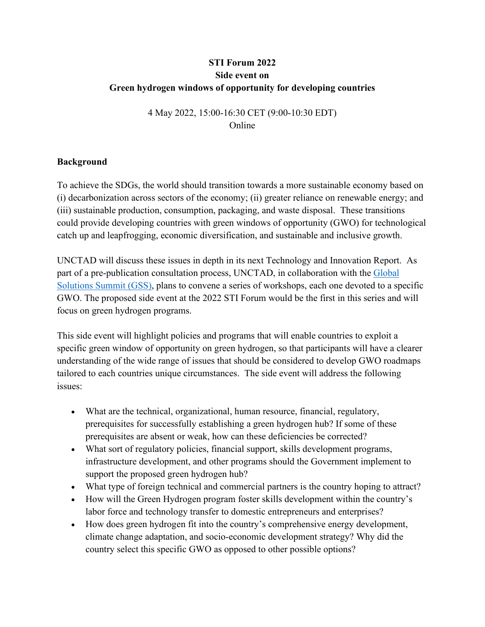# **STI Forum 2022 Side event on Green hydrogen windows of opportunity for developing countries**

4 May 2022, 15:00-16:30 CET (9:00-10:30 EDT) Online

#### **Background**

To achieve the SDGs, the world should transition towards a more sustainable economy based on (i) decarbonization across sectors of the economy; (ii) greater reliance on renewable energy; and (iii) sustainable production, consumption, packaging, and waste disposal. These transitions could provide developing countries with green windows of opportunity (GWO) for technological catch up and leapfrogging, economic diversification, and sustainable and inclusive growth.

UNCTAD will discuss these issues in depth in its next Technology and Innovation Report. As part of a pre-publication consultation process, UNCTAD, in collaboration with the [Global](http://www.globalsolutionssummit.com/)  [Solutions Summit \(GSS\),](http://www.globalsolutionssummit.com/) plans to convene a series of workshops, each one devoted to a specific GWO. The proposed side event at the 2022 STI Forum would be the first in this series and will focus on green hydrogen programs.

This side event will highlight policies and programs that will enable countries to exploit a specific green window of opportunity on green hydrogen, so that participants will have a clearer understanding of the wide range of issues that should be considered to develop GWO roadmaps tailored to each countries unique circumstances. The side event will address the following issues:

- What are the technical, organizational, human resource, financial, regulatory, prerequisites for successfully establishing a green hydrogen hub? If some of these prerequisites are absent or weak, how can these deficiencies be corrected?
- What sort of regulatory policies, financial support, skills development programs, infrastructure development, and other programs should the Government implement to support the proposed green hydrogen hub?
- What type of foreign technical and commercial partners is the country hoping to attract?
- How will the Green Hydrogen program foster skills development within the country's labor force and technology transfer to domestic entrepreneurs and enterprises?
- How does green hydrogen fit into the country's comprehensive energy development, climate change adaptation, and socio-economic development strategy? Why did the country select this specific GWO as opposed to other possible options?